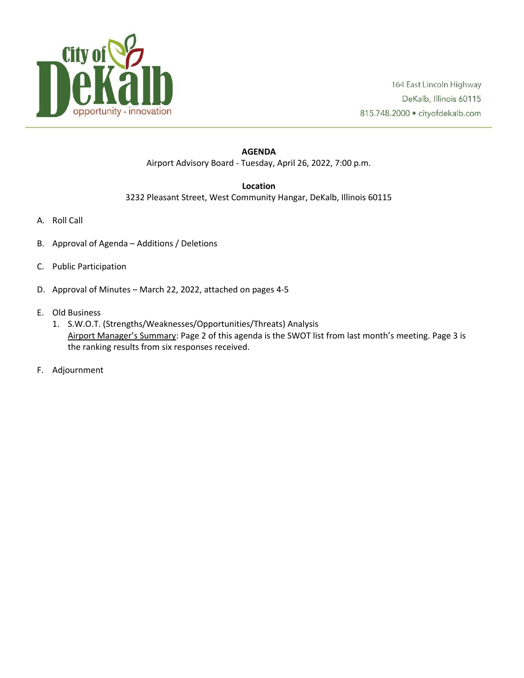

## **AGENDA** Airport Advisory Board - Tuesday, April 26, 2022, 7:00 p.m.

## **Location**

3232 Pleasant Street, West Community Hangar, DeKalb, Illinois 60115

- A. Roll Call
- B. Approval of Agenda Additions / Deletions
- C. Public Participation
- D. Approval of Minutes March 22, 2022, attached on pages 4-5
- E. Old Business
	- 1. S.W.O.T. (Strengths/Weaknesses/Opportunities/Threats) Analysis Airport Manager's Summary: Page 2 of this agenda is the SWOT list from last month's meeting. Page 3 is the ranking results from six responses received.
- F. Adjournment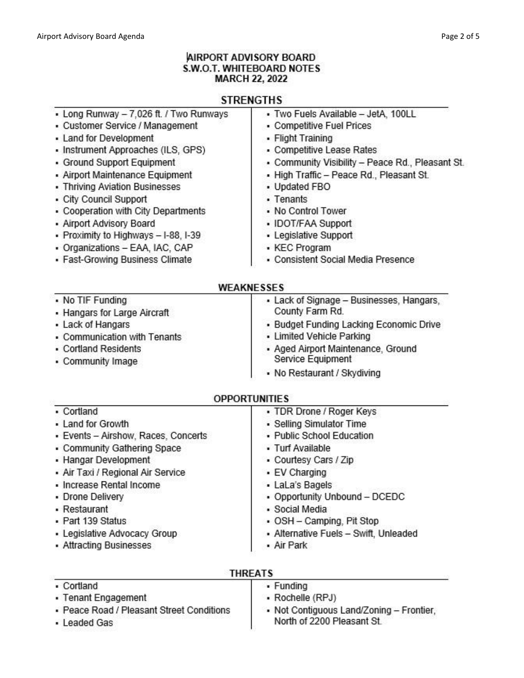## **AIRPORT ADVISORY BOARD** S.W.O.T. WHITEBOARD NOTES **MARCH 22, 2022**

# **STRENGTHS**

| · Two Fuels Available - JetA, 100LL                                  |
|----------------------------------------------------------------------|
| • Competitive Fuel Prices                                            |
| • Flight Training                                                    |
| • Competitive Lease Rates                                            |
| - Community Visibility - Peace Rd., Pleasant St.                     |
| . High Traffic - Peace Rd., Pleasant St.                             |
| • Updated FBO                                                        |
| • Tenants                                                            |
| • No Control Tower                                                   |
| • IDOT/FAA Support                                                   |
| • Legislative Support                                                |
| • KEC Program                                                        |
| - Consistent Social Media Presence                                   |
|                                                                      |
| <b>WEAKNESSES</b>                                                    |
| - Lack of Signage - Businesses, Hangars,                             |
| County Farm Rd.                                                      |
| • Budget Funding Lacking Economic Drive<br>- Limited Vehicle Parking |
| · Aged Airport Maintenance, Ground                                   |
| Service Equipment<br>• No Restaurant / Skydiving                     |
|                                                                      |
| <b>OPPORTUNITIES</b>                                                 |
| • TDR Drone / Roger Keys                                             |
| • Selling Simulator Time                                             |
| • Public School Education                                            |
| • Turf Available                                                     |
| • Courtesy Cars / Zip                                                |
| • EV Charging                                                        |
| • LaLa's Bagels                                                      |
| • Opportunity Unbound - DCEDC                                        |
| · Social Media                                                       |
| • OSH - Camping, Pit Stop                                            |
|                                                                      |
| · Alternative Fuels - Swift, Unleaded<br>• Air Park                  |
|                                                                      |

| <b>INNEAIS</b>                                            |                                                                        |
|-----------------------------------------------------------|------------------------------------------------------------------------|
| • Cortland                                                | • Funding                                                              |
| • Tenant Engagement                                       | • Rochelle (RPJ)                                                       |
| - Peace Road / Pleasant Street Conditions<br>- Leaded Gas | • Not Contiguous Land/Zoning - Frontier,<br>North of 2200 Pleasant St. |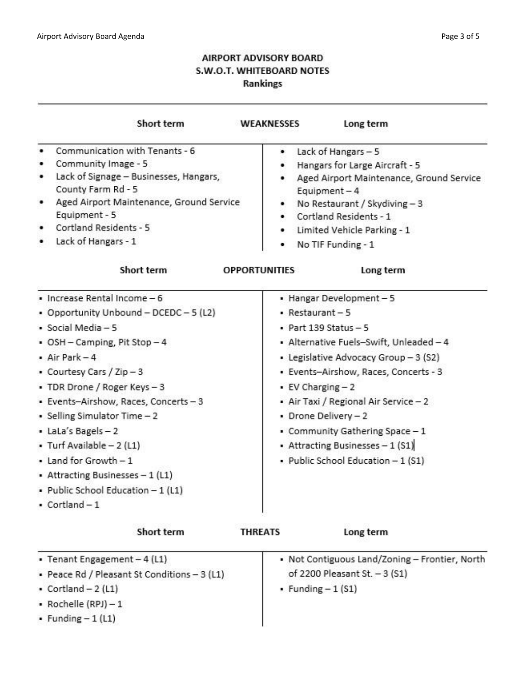# **AIRPORT ADVISORY BOARD** S.W.O.T. WHITEBOARD NOTES **Rankings**

| Short term                                                                                                                                                                                                                                                                                                                                                                                               | WEAKNESSES<br>Long term                                                                                                                                                                                                                                                                                                                                                                                                                                  |
|----------------------------------------------------------------------------------------------------------------------------------------------------------------------------------------------------------------------------------------------------------------------------------------------------------------------------------------------------------------------------------------------------------|----------------------------------------------------------------------------------------------------------------------------------------------------------------------------------------------------------------------------------------------------------------------------------------------------------------------------------------------------------------------------------------------------------------------------------------------------------|
| Communication with Tenants - 6<br>Community Image - 5<br>Lack of Signage - Businesses, Hangars,<br>County Farm Rd - 5<br>Aged Airport Maintenance, Ground Service<br>٠<br>Equipment - 5<br>Cortland Residents - 5<br>Lack of Hangars - 1<br>Short term<br>· Increase Rental Income - 6<br>• Opportunity Unbound - DCEDC - 5 (L2)<br>· Social Media - 5<br>• OSH - Camping, Pit Stop - 4<br>$-Air Park-4$ | Lack of Hangars - 5<br>۰<br>Hangars for Large Aircraft - 5<br>Aged Airport Maintenance, Ground Service<br>Equipment $-4$<br>No Restaurant / Skydiving - 3<br>Cortland Residents - 1<br>• Limited Vehicle Parking - 1<br>No TIF Funding - 1<br><b>OPPORTUNITIES</b><br>Long term<br>• Hangar Development-5<br>$\blacksquare$ Restaurant - 5<br>• Part 139 Status $-5$<br>• Alternative Fuels-Swift, Unleaded - 4<br>• Legislative Advocacy Group - 3 (S2) |
| • Courtesy Cars / Zip - 3<br>• TDR Drone / Roger Keys - 3<br>• Events-Airshow, Races, Concerts - 3<br>• Selling Simulator Time - 2<br>• LaLa's Bagels-2<br>• Turf Available - 2 (L1)<br>• Land for Growth - 1<br>• Attracting Businesses - 1 (L1)<br>· Public School Education - 1 (L1)<br>$\cdot$ Cortland $-1$                                                                                         | · Events-Airshow, Races, Concerts - 3<br>$\cdot$ EV Charging $-2$<br>• Air Taxi / Regional Air Service - 2<br>• Drone Delivery - 2<br>• Community Gathering Space - 1<br>• Attracting Businesses - 1 (S1)<br>· Public School Education - 1 (S1)                                                                                                                                                                                                          |
| Short term                                                                                                                                                                                                                                                                                                                                                                                               | Long term<br><b>THREATS</b>                                                                                                                                                                                                                                                                                                                                                                                                                              |
| • Tenant Engagement - 4 (L1)<br>- Peace Rd / Pleasant St Conditions - 3 (L1)<br>$\text{-}$ Cortland $-2$ (L1)<br>• Rochelle $(RPI) - 1$<br>• Funding $-1$ (L1)                                                                                                                                                                                                                                           | • Not Contiguous Land/Zoning - Frontier, North<br>of 2200 Pleasant St. - 3 (S1)<br>• Funding $-1$ (S1)                                                                                                                                                                                                                                                                                                                                                   |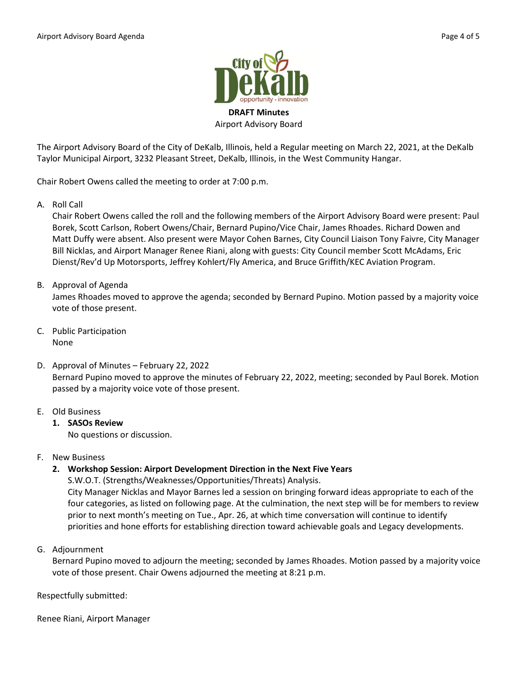

Airport Advisory Board

The Airport Advisory Board of the City of DeKalb, Illinois, held a Regular meeting on March 22, 2021, at the DeKalb Taylor Municipal Airport, 3232 Pleasant Street, DeKalb, Illinois, in the West Community Hangar.

Chair Robert Owens called the meeting to order at 7:00 p.m.

A. Roll Call

Chair Robert Owens called the roll and the following members of the Airport Advisory Board were present: Paul Borek, Scott Carlson, Robert Owens/Chair, Bernard Pupino/Vice Chair, James Rhoades. Richard Dowen and Matt Duffy were absent. Also present were Mayor Cohen Barnes, City Council Liaison Tony Faivre, City Manager Bill Nicklas, and Airport Manager Renee Riani, along with guests: City Council member Scott McAdams, Eric Dienst/Rev'd Up Motorsports, Jeffrey Kohlert/Fly America, and Bruce Griffith/KEC Aviation Program.

B. Approval of Agenda

James Rhoades moved to approve the agenda; seconded by Bernard Pupino. Motion passed by a majority voice vote of those present.

- C. Public Participation None
- D. Approval of Minutes February 22, 2022 Bernard Pupino moved to approve the minutes of February 22, 2022, meeting; seconded by Paul Borek. Motion passed by a majority voice vote of those present.
- E. Old Business
	- **1. SASOs Review**

No questions or discussion.

- F. New Business
	- **2. Workshop Session: Airport Development Direction in the Next Five Years**

S.W.O.T. (Strengths/Weaknesses/Opportunities/Threats) Analysis. City Manager Nicklas and Mayor Barnes led a session on bringing forward ideas appropriate to each of the four categories, as listed on following page. At the culmination, the next step will be for members to review prior to next month's meeting on Tue., Apr. 26, at which time conversation will continue to identify priorities and hone efforts for establishing direction toward achievable goals and Legacy developments.

G. Adjournment

Bernard Pupino moved to adjourn the meeting; seconded by James Rhoades. Motion passed by a majority voice vote of those present. Chair Owens adjourned the meeting at 8:21 p.m.

Respectfully submitted:

Renee Riani, Airport Manager